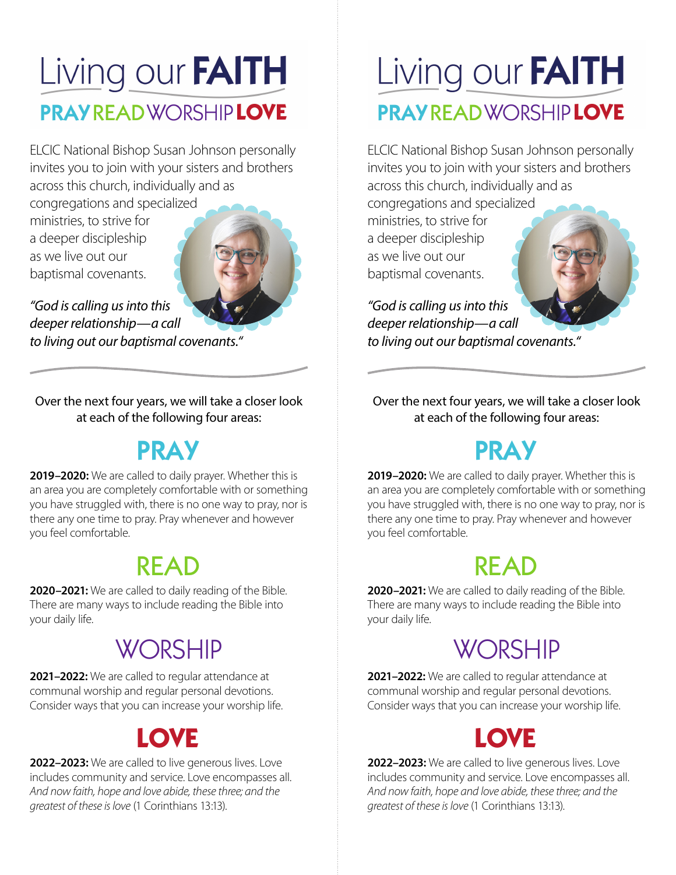## Living our FAITH **PRAY READ WORSHIP LOVE**

ELCIC National Bishop Susan Johnson personally invites you to join with your sisters and brothers across this church, individually and as

congregations and specialized ministries, to strive for a deeper discipleship as we live out our baptismal covenants.



*"God is calling us into this deeper relationship—a call to living out our baptismal covenants."*

Over the next four years, we will take a closer look at each of the following four areas:

#### PRAY

**2019–2020:** We are called to daily prayer. Whether this is an area you are completely comfortable with or something you have struggled with, there is no one way to pray, nor is there any one time to pray. Pray whenever and however you feel comfortable.

#### READ

**2020–2021:** We are called to daily reading of the Bible. There are many ways to include reading the Bible into your daily life.

#### **WORSHIP**

**2021–2022:** We are called to regular attendance at communal worship and regular personal devotions. Consider ways that you can increase your worship life.

### **LOVE**

**2022–2023:** We are called to live generous lives. Love includes community and service. Love encompasses all. *And now faith, hope and love abide, these three; and the greatest of these is love* (1 Corinthians 13:13).

## Living our FAITH **PRAY READ WORSHIP LOVE**

ELCIC National Bishop Susan Johnson personally invites you to join with your sisters and brothers across this church, individually and as

congregations and specialized ministries, to strive for a deeper discipleship as we live out our baptismal covenants.

*"God is calling us into this deeper relationship—a call to living out our baptismal covenants."*

Over the next four years, we will take a closer look at each of the following four areas:

#### PRAY

**2019–2020:** We are called to daily prayer. Whether this is an area you are completely comfortable with or something you have struggled with, there is no one way to pray, nor is there any one time to pray. Pray whenever and however you feel comfortable.

#### READ

**2020–2021:** We are called to daily reading of the Bible. There are many ways to include reading the Bible into your daily life.

#### **WORSHIP**

**2021–2022:** We are called to regular attendance at communal worship and regular personal devotions. Consider ways that you can increase your worship life.

### **LOVE**

**2022–2023:** We are called to live generous lives. Love includes community and service. Love encompasses all. *And now faith, hope and love abide, these three; and the greatest of these is love* (1 Corinthians 13:13).